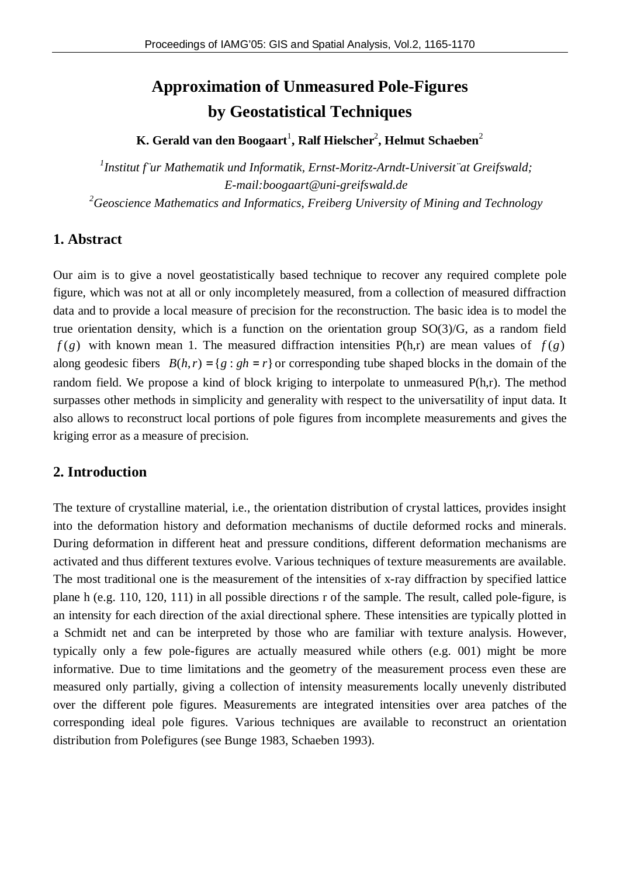# **Approximation of Unmeasured Pole-Figures by Geostatistical Techniques**

 $\mathbf{K}.$  Gerald van den Boogaart<sup>1</sup>, Ralf Hielscher<sup>2</sup>, Helmut Schaeben<sup>2</sup>

*1 Institut f¨ur Mathematik und Informatik, Ernst-Moritz-Arndt-Universit¨at Greifswald; E-mail:boogaart@uni-greifswald.de <sup>2</sup>Geoscience Mathematics and Informatics, Freiberg University of Mining and Technology*

# **1. Abstract**

Our aim is to give a novel geostatistically based technique to recover any required complete pole figure, which was not at all or only incompletely measured, from a collection of measured diffraction data and to provide a local measure of precision for the reconstruction. The basic idea is to model the true orientation density, which is a function on the orientation group SO(3)/G, as a random field  $f(g)$  with known mean 1. The measured diffraction intensities  $P(h,r)$  are mean values of  $f(g)$ along geodesic fibers  $B(h, r) = \{g : gh = r\}$  or corresponding tube shaped blocks in the domain of the random field. We propose a kind of block kriging to interpolate to unmeasured P(h,r). The method surpasses other methods in simplicity and generality with respect to the universatility of input data. It also allows to reconstruct local portions of pole figures from incomplete measurements and gives the kriging error as a measure of precision.

# **2. Introduction**

The texture of crystalline material, i.e., the orientation distribution of crystal lattices, provides insight into the deformation history and deformation mechanisms of ductile deformed rocks and minerals. During deformation in different heat and pressure conditions, different deformation mechanisms are activated and thus different textures evolve. Various techniques of texture measurements are available. The most traditional one is the measurement of the intensities of x-ray diffraction by specified lattice plane h (e.g. 110, 120, 111) in all possible directions r of the sample. The result, called pole-figure, is an intensity for each direction of the axial directional sphere. These intensities are typically plotted in a Schmidt net and can be interpreted by those who are familiar with texture analysis. However, typically only a few pole-figures are actually measured while others (e.g. 001) might be more informative. Due to time limitations and the geometry of the measurement process even these are measured only partially, giving a collection of intensity measurements locally unevenly distributed over the different pole figures. Measurements are integrated intensities over area patches of the corresponding ideal pole figures. Various techniques are available to reconstruct an orientation distribution from Polefigures (see Bunge 1983, Schaeben 1993).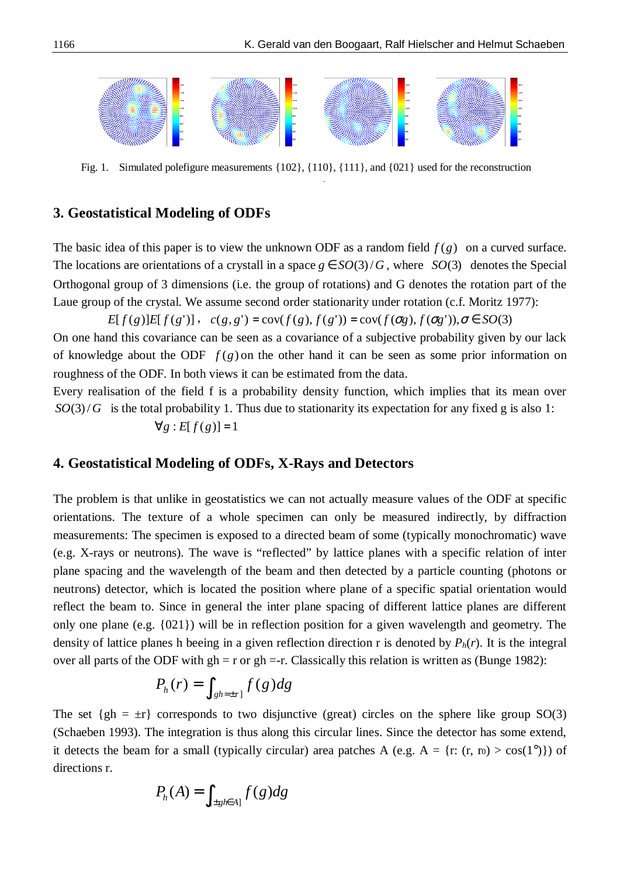

Fig. 1. Simulated polefigure measurements {102}, {110}, {111}, and {021} used for the reconstruction reconstruction.

#### **3. Geostatistical Modeling of ODFs**

The basic idea of this paper is to view the unknown ODF as a random field  $f(g)$  on a curved surface. The locations are orientations of a crystall in a space  $g \in SO(3)/G$ , where *SO*(3) denotes the Special Orthogonal group of 3 dimensions (i.e. the group of rotations) and G denotes the rotation part of the Laue group of the crystal. We assume second order stationarity under rotation (c.f. Moritz 1977):

*E*[ $f(g)$ ]*E*[ $f(g')$ ],  $c(g, g') = cov(f(g), f(g')) = cov(f(\sigma g), f(\sigma g'))$ , $\sigma \in SO(3)$ 

On one hand this covariance can be seen as a covariance of a subjective probability given by our lack of knowledge about the ODF *f* (*g*) on the other hand it can be seen as some prior information on roughness of the ODF. In both views it can be estimated from the data.

Every realisation of the field f is a probability density function, which implies that its mean over  $SO(3)/G$  is the total probability 1. Thus due to stationarity its expectation for any fixed g is also 1:  $\forall g : E[f(g)] = 1$ 

## **4. Geostatistical Modeling of ODFs, X-Rays and Detectors**

The problem is that unlike in geostatistics we can not actually measure values of the ODF at specific orientations. The texture of a whole specimen can only be measured indirectly, by diffraction measurements: The specimen is exposed to a directed beam of some (typically monochromatic) wave (e.g. X-rays or neutrons). The wave is "reflected" by lattice planes with a specific relation of inter plane spacing and the wavelength of the beam and then detected by a particle counting (photons or neutrons) detector, which is located the position where plane of a specific spatial orientation would reflect the beam to. Since in general the inter plane spacing of different lattice planes are different only one plane (e.g. {021}) will be in reflection position for a given wavelength and geometry. The density of lattice planes h beeing in a given reflection direction r is denoted by *Ph*(*r*). It is the integral over all parts of the ODF with  $gh = r$  or  $gh = r$ . Classically this relation is written as (Bunge 1982):

$$
P_h(r) = \int_{\{gh = \pm r\}} f(g) dg
$$

The set  $\{gh = \pm r\}$  corresponds to two disjunctive (great) circles on the sphere like group SO(3) (Schaeben 1993). The integration is thus along this circular lines. Since the detector has some extend, it detects the beam for a small (typically circular) area patches A (e.g.  $A = \{r: (r, r0) > cos(1^{\circ})\}\$  of directions r.

$$
P_h(A) = \int_{\{\pm g/|k| \leq A\}} f(g) dg
$$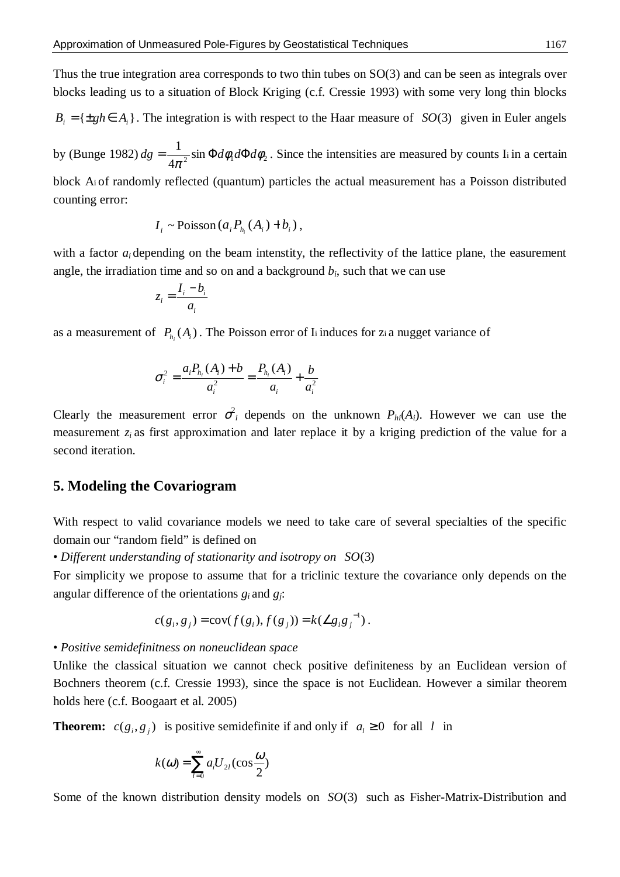Thus the true integration area corresponds to two thin tubes on SO(3) and can be seen as integrals over blocks leading us to a situation of Block Kriging (c.f. Cressie 1993) with some very long thin blocks

 ${B}_{i} = {\pm gh \in A_{i}}$ . The integration is with respect to the Haar measure of *SO*(3) given in Euler angels

by (Bunge 1982)  $dg = \frac{1}{4\pi^2} \sin \Phi d\phi_1 d\Phi d\phi_2$ 4  $dg = \frac{1}{4\pi^2} \sin \Phi d\phi_1 d\Phi d\phi_2$ . Since the intensities are measured by counts I<sub>i</sub> in a certain

block A<sup>i</sup> of randomly reflected (quantum) particles the actual measurement has a Poisson distributed counting error:

$$
I_i \sim \text{Poisson}\left(a_i P_{h_i}(A_i) + b_i\right),
$$

with a factor  $a_i$  depending on the beam intenstity, the reflectivity of the lattice plane, the easurement angle, the irradiation time and so on and a background  $b_i$ , such that we can use

$$
z_i = \frac{I_i - b_i}{a_i}
$$

as a measurement of  $P_{h_i}(A_i)$ . The Poisson error of I<sub>i</sub> induces for zi a nugget variance of

$$
\sigma_i^2 = \frac{a_i P_{h_i}(A_i) + b}{a_i^2} = \frac{P_{h_i}(A_i)}{a_i} + \frac{b}{a_i^2}
$$

Clearly the measurement error  $\sigma_i^2$  depends on the unknown  $P_{hi}(A_i)$ . However we can use the measurement  $z_i$  as first approximation and later replace it by a kriging prediction of the value for a second iteration.

#### **5. Modeling the Covariogram**

With respect to valid covariance models we need to take care of several specialties of the specific domain our "random field" is defined on

• *Different understanding of stationarity and isotropy on SO*(3)

For simplicity we propose to assume that for a triclinic texture the covariance only depends on the angular difference of the orientations  $g_i$  and  $g_j$ :

$$
c(g_i, g_j) = \text{cov}(f(g_i), f(g_j)) = k(\angle g_i g_j^{-1}).
$$

• *Positive semidefinitness on noneuclidean space*

Unlike the classical situation we cannot check positive definiteness by an Euclidean version of Bochners theorem (c.f. Cressie 1993), since the space is not Euclidean. However a similar theorem holds here (c.f. Boogaart et al. 2005)

**Theorem:**  $c(g_i, g_j)$  is positive semidefinite if and only if  $a_i \ge 0$  for all *l* in

$$
k(\omega) = \sum_{l=0}^{\infty} a_l U_{2l}(\cos \frac{\omega}{2})
$$

Some of the known distribution density models on *SO*(3) such as Fisher-Matrix-Distribution and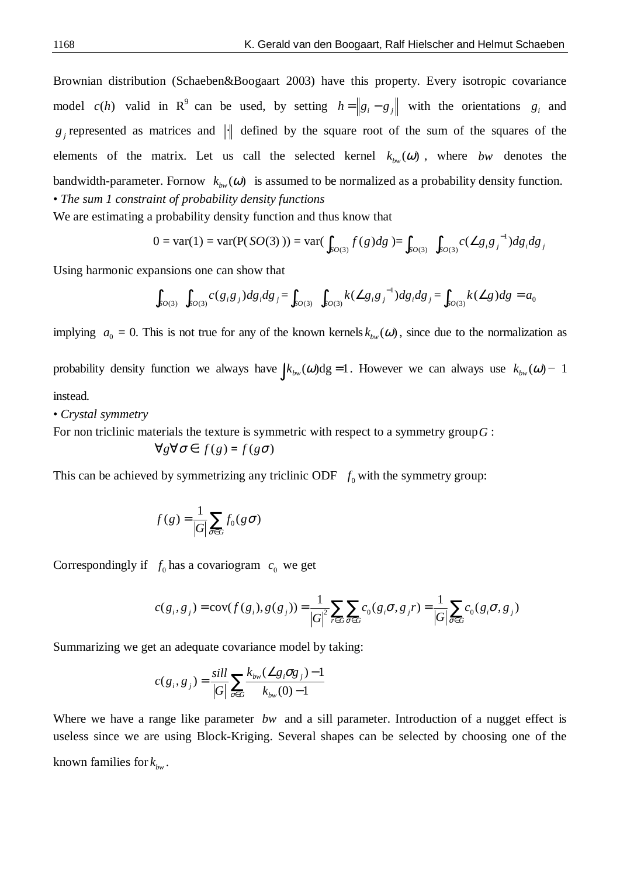Brownian distribution (Schaeben&Boogaart 2003) have this property. Every isotropic covariance model  $c(h)$  valid in R<sup>9</sup> can be used, by setting  $h = g_i - g_j$  with the orientations  $g_i$  and  $g_j$  represented as matrices and  $\|\cdot\|$  defined by the square root of the sum of the squares of the elements of the matrix. Let us call the selected kernel  $k_{bw}(\omega)$ , where *bw* denotes the bandwidth-parameter. Fornow  $k_{bw}(\omega)$  is assumed to be normalized as a probability density function. • *The sum 1 constraint of probability density functions*

We are estimating a probability density function and thus know that

$$
0 = \text{var}(1) = \text{var}(P(SO(3))) = \text{var}(\int_{SO(3)} f(g) dg) = \int_{SO(3)} \int_{SO(3)} c(\angle g_i g_j^{-1}) dg_i dg_j
$$

Using harmonic expansions one can show that

$$
\int_{SO(3)} \int_{SO(3)} c(g_i g_j) dg_i dg_j = \int_{SO(3)} \int_{SO(3)} k(\angle g_i g_j^{-1}) dg_i dg_j = \int_{SO(3)} k(\angle g) dg = a_0
$$

implying  $a_0 = 0$ . This is not true for any of the known kernels  $k_{bw}(\omega)$ , since due to the normalization as probability density function we always have  $\int k_{bw}(\omega) dg = 1$ . However we can always use  $k_{bw}(\omega) - 1$ instead.

• *Crystal symmetry*

For non triclinic materials the texture is symmetric with respect to a symmetry group*G* :

$$
\forall g \forall \sigma \in : f(g) = f(g\sigma)
$$

This can be achieved by symmetrizing any triclinic ODF  $f_0$  with the symmetry group:

$$
f(g) = \frac{1}{|G|} \sum_{\sigma \in G} f_0(g\sigma)
$$

Correspondingly if  $f_0$  has a covariogram  $c_0$  we get

$$
c(g_i, g_j) = \text{cov}(f(g_i), g(g_j)) = \frac{1}{|G|^2} \sum_{r \in G} \sum_{\sigma \in G} c_0(g_i \sigma, g_j r) = \frac{1}{|G|} \sum_{\sigma \in G} c_0(g_i \sigma, g_j)
$$

Summarizing we get an adequate covariance model by taking:

$$
c(g_i, g_j) = \frac{\text{sill}}{|G|} \sum_{\sigma \in G} \frac{k_{_{bw}}(\angle g_i \sigma g_j) - 1}{k_{_{bw}}(0) - 1}
$$

Where we have a range like parameter *bw* and a sill parameter. Introduction of a nugget effect is useless since we are using Block-Kriging. Several shapes can be selected by choosing one of the known families for  $k_{bw}$ .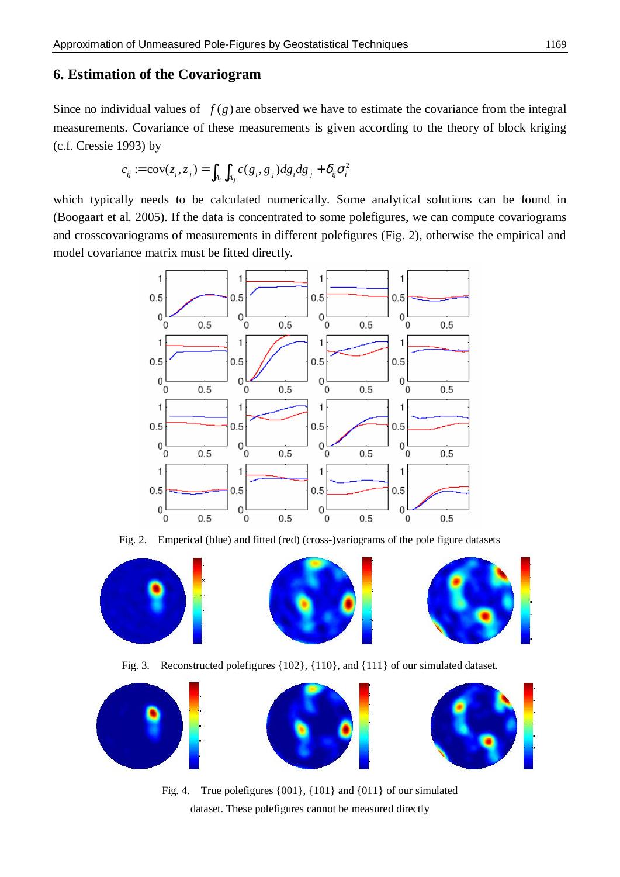# **6. Estimation of the Covariogram**

Since no individual values of  $f(g)$  are observed we have to estimate the covariance from the integral measurements. Covariance of these measurements is given according to the theory of block kriging (c.f. Cressie 1993) by

$$
c_{ij} := \text{cov}(z_i, z_j) = \int_{A_i} \int_{A_j} c(g_i, g_j) dg_i dg_j + \delta_{ij} \sigma_i^2
$$

which typically needs to be calculated numerically. Some analytical solutions can be found in (Boogaart et al. 2005). If the data is concentrated to some polefigures, we can compute covariograms and crosscovariograms of measurements in different polefigures (Fig. 2), otherwise the empirical and model covariance matrix must be fitted directly.



Fig. 2. Emperical (blue) and fitted (red) (cross-)variograms of the pole figure datasets



Fig. 3. Reconstructed polefigures {102}, {110}, and {111} of our simulated dataset.



Fig. 4. True polefigures {001}, {101} and {011} of our simulated dataset. These polefigures cannot be measured directly